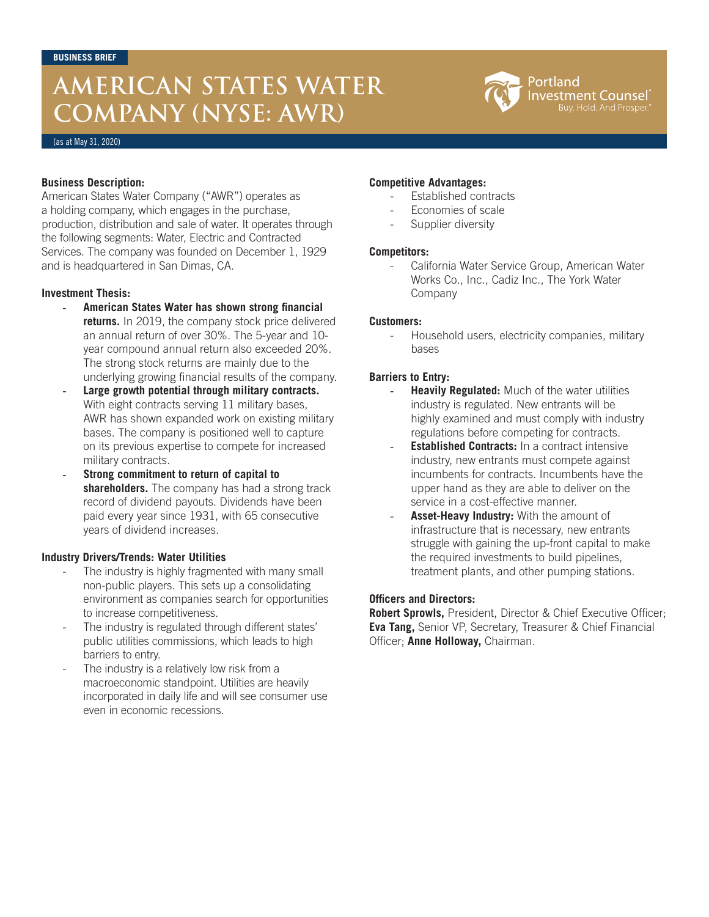# **AMERICAN STATES WATER COMPANY (NYSE: AWR)**



(as at May 31, 2020)

### **Business Description:**

American States Water Company ("AWR") operates as a holding company, which engages in the purchase, production, distribution and sale of water. It operates through the following segments: Water, Electric and Contracted Services. The company was founded on December 1, 1929 and is headquartered in San Dimas, CA.

#### **Investment Thesis:**

- **American States Water has shown strong financial returns.** In 2019, the company stock price delivered an annual return of over 30%. The 5-year and 10 year compound annual return also exceeded 20%. The strong stock returns are mainly due to the underlying growing financial results of the company.
- Large growth potential through military contracts. With eight contracts serving 11 military bases, AWR has shown expanded work on existing military bases. The company is positioned well to capture on its previous expertise to compete for increased military contracts.
- **Strong commitment to return of capital to shareholders.** The company has had a strong track record of dividend payouts. Dividends have been paid every year since 1931, with 65 consecutive years of dividend increases.

#### **Industry Drivers/Trends: Water Utilities**

- The industry is highly fragmented with many small non-public players. This sets up a consolidating environment as companies search for opportunities to increase competitiveness.
- The industry is regulated through different states' public utilities commissions, which leads to high barriers to entry.
- The industry is a relatively low risk from a macroeconomic standpoint. Utilities are heavily incorporated in daily life and will see consumer use even in economic recessions.

## **Competitive Advantages:**

- Established contracts
- Economies of scale
- Supplier diversity

## **Competitors:**

- California Water Service Group, American Water Works Co., Inc., Cadiz Inc., The York Water Company

## **Customers:**

Household users, electricity companies, military bases

## **Barriers to Entry:**

- **Heavily Regulated:** Much of the water utilities industry is regulated. New entrants will be highly examined and must comply with industry regulations before competing for contracts.
- **Established Contracts:** In a contract intensive industry, new entrants must compete against incumbents for contracts. Incumbents have the upper hand as they are able to deliver on the service in a cost-effective manner.
- Asset-Heavy Industry: With the amount of infrastructure that is necessary, new entrants struggle with gaining the up-front capital to make the required investments to build pipelines, treatment plants, and other pumping stations.

### **Officers and Directors:**

**Robert Sprowls,** President, Director & Chief Executive Officer; **Eva Tang,** Senior VP, Secretary, Treasurer & Chief Financial Officer; **Anne Holloway,** Chairman.